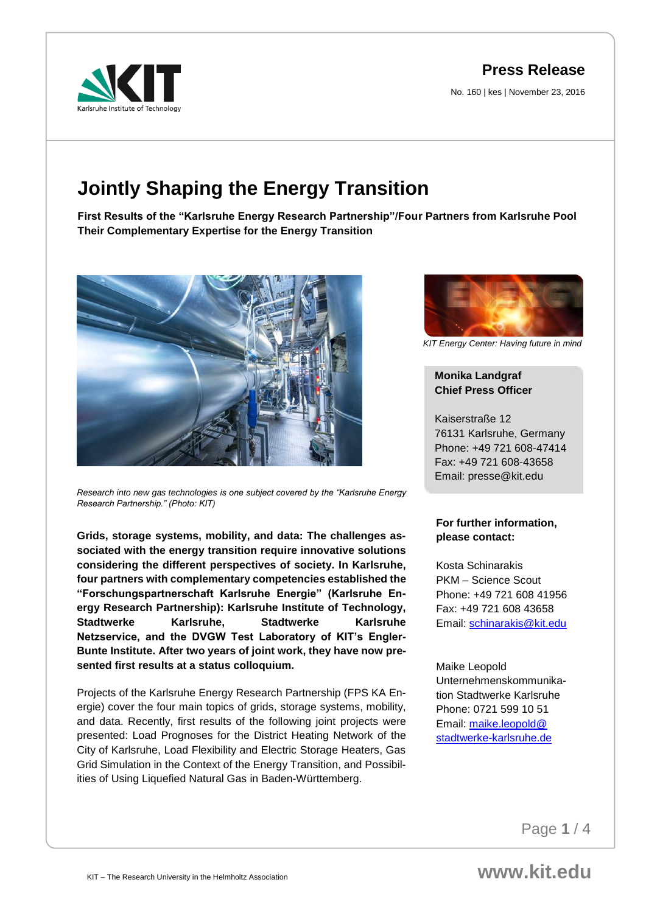**Press Release**

No. 160 | kes | November 23, 2016



# **Jointly Shaping the Energy Transition**

**First Results of the "Karlsruhe Energy Research Partnership"/Four Partners from Karlsruhe Pool Their Complementary Expertise for the Energy Transition** 



*Research into new gas technologies is one subject covered by the "Karlsruhe Energy Research Partnership." (Photo: KIT)*

**Grids, storage systems, mobility, and data: The challenges associated with the energy transition require innovative solutions considering the different perspectives of society. In Karlsruhe, four partners with complementary competencies established the "Forschungspartnerschaft Karlsruhe Energie" (Karlsruhe Energy Research Partnership): Karlsruhe Institute of Technology, Stadtwerke Karlsruhe, Stadtwerke Karlsruhe Netzservice, and the DVGW Test Laboratory of KIT's Engler-Bunte Institute. After two years of joint work, they have now presented first results at a status colloquium.** 

Projects of the Karlsruhe Energy Research Partnership (FPS KA Energie) cover the four main topics of grids, storage systems, mobility, and data. Recently, first results of the following joint projects were presented: Load Prognoses for the District Heating Network of the City of Karlsruhe, Load Flexibility and Electric Storage Heaters, Gas Grid Simulation in the Context of the Energy Transition, and Possibilities of Using Liquefied Natural Gas in Baden-Württemberg.



*KIT Energy Center: Having future in mind*

# **Monika Landgraf Chief Press Officer**

Kaiserstraße 12 76131 Karlsruhe, Germany Phone: +49 721 608-47414 Fax: +49 721 608-43658 Email: presse@kit.edu

#### **For further information, please contact:**

Kosta Schinarakis PKM – Science Scout Phone: +49 721 608 41956 Fax: +49 721 608 43658 Email: [schinarakis@kit.edu](mailto:schinarakis@kit.edu)

Maike Leopold Unternehmenskommunikation Stadtwerke Karlsruhe Phone: 0721 599 10 51 Email: [maike.leopold@](mailto:maike.leopold@stadtwerke-karlsruhe.de) [stadtwerke-karlsruhe.de](mailto:maike.leopold@stadtwerke-karlsruhe.de)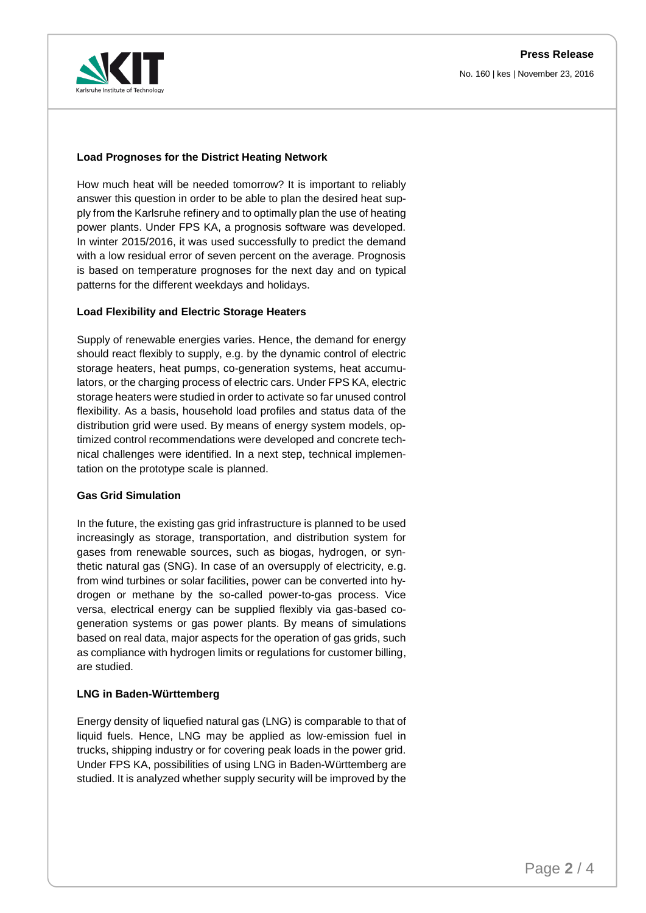

### **Load Prognoses for the District Heating Network**

How much heat will be needed tomorrow? It is important to reliably answer this question in order to be able to plan the desired heat supply from the Karlsruhe refinery and to optimally plan the use of heating power plants. Under FPS KA, a prognosis software was developed. In winter 2015/2016, it was used successfully to predict the demand with a low residual error of seven percent on the average. Prognosis is based on temperature prognoses for the next day and on typical patterns for the different weekdays and holidays.

#### **Load Flexibility and Electric Storage Heaters**

Supply of renewable energies varies. Hence, the demand for energy should react flexibly to supply, e.g. by the dynamic control of electric storage heaters, heat pumps, co-generation systems, heat accumulators, or the charging process of electric cars. Under FPS KA, electric storage heaters were studied in order to activate so far unused control flexibility. As a basis, household load profiles and status data of the distribution grid were used. By means of energy system models, optimized control recommendations were developed and concrete technical challenges were identified. In a next step, technical implementation on the prototype scale is planned.

#### **Gas Grid Simulation**

In the future, the existing gas grid infrastructure is planned to be used increasingly as storage, transportation, and distribution system for gases from renewable sources, such as biogas, hydrogen, or synthetic natural gas (SNG). In case of an oversupply of electricity, e.g. from wind turbines or solar facilities, power can be converted into hydrogen or methane by the so-called power-to-gas process. Vice versa, electrical energy can be supplied flexibly via gas-based cogeneration systems or gas power plants. By means of simulations based on real data, major aspects for the operation of gas grids, such as compliance with hydrogen limits or regulations for customer billing, are studied.

#### **LNG in Baden-Württemberg**

Energy density of liquefied natural gas (LNG) is comparable to that of liquid fuels. Hence, LNG may be applied as low-emission fuel in trucks, shipping industry or for covering peak loads in the power grid. Under FPS KA, possibilities of using LNG in Baden-Württemberg are studied. It is analyzed whether supply security will be improved by the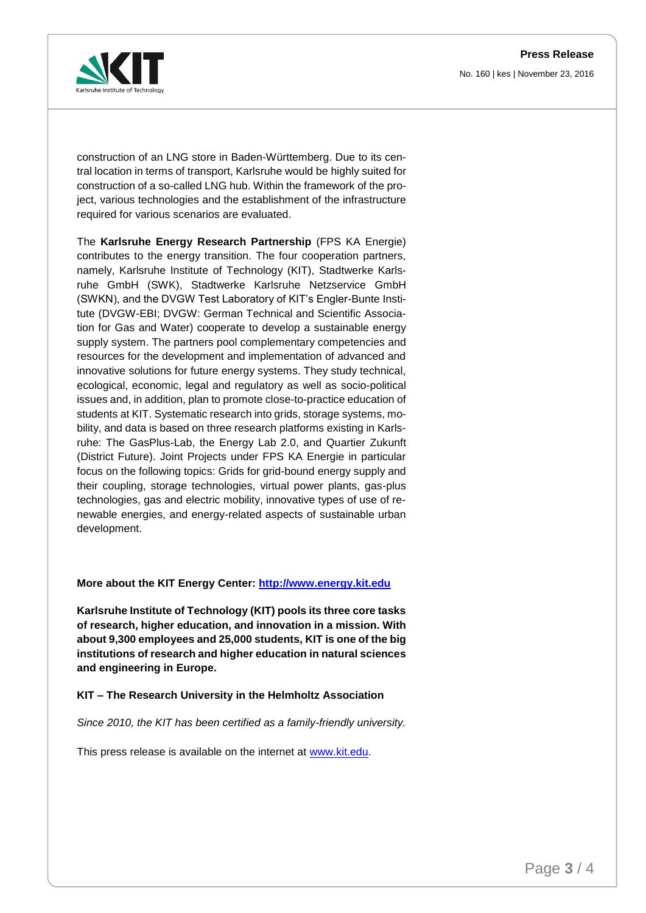**Press Release** No. 160 | kes | November 23, 2016



construction of an LNG store in Baden-Württemberg. Due to its central location in terms of transport, Karlsruhe would be highly suited for construction of a so-called LNG hub. Within the framework of the project, various technologies and the establishment of the infrastructure required for various scenarios are evaluated.

The **Karlsruhe Energy Research Partnership** (FPS KA Energie) contributes to the energy transition. The four cooperation partners, namely, Karlsruhe Institute of Technology (KIT), Stadtwerke Karlsruhe GmbH (SWK), Stadtwerke Karlsruhe Netzservice GmbH (SWKN), and the DVGW Test Laboratory of KIT's Engler-Bunte Institute (DVGW-EBI; DVGW: German Technical and Scientific Association for Gas and Water) cooperate to develop a sustainable energy supply system. The partners pool complementary competencies and resources for the development and implementation of advanced and innovative solutions for future energy systems. They study technical, ecological, economic, legal and regulatory as well as socio-political issues and, in addition, plan to promote close-to-practice education of students at KIT. Systematic research into grids, storage systems, mobility, and data is based on three research platforms existing in Karlsruhe: The GasPlus-Lab, the Energy Lab 2.0, and Quartier Zukunft (District Future). Joint Projects under FPS KA Energie in particular focus on the following topics: Grids for grid-bound energy supply and their coupling, storage technologies, virtual power plants, gas-plus technologies, gas and electric mobility, innovative types of use of renewable energies, and energy-related aspects of sustainable urban development.

#### **More about the KIT Energy Center: [http://www.energy.kit.edu](http://www.energy.kit.edu/)**

**Karlsruhe Institute of Technology (KIT) pools its three core tasks of research, higher education, and innovation in a mission. With about 9,300 employees and 25,000 students, KIT is one of the big institutions of research and higher education in natural sciences and engineering in Europe.** 

**KIT – The Research University in the Helmholtz Association**

*Since 2010, the KIT has been certified as a family-friendly university.*

This press release is available on the internet at [www.kit.edu.](http://www.kit.edu/)